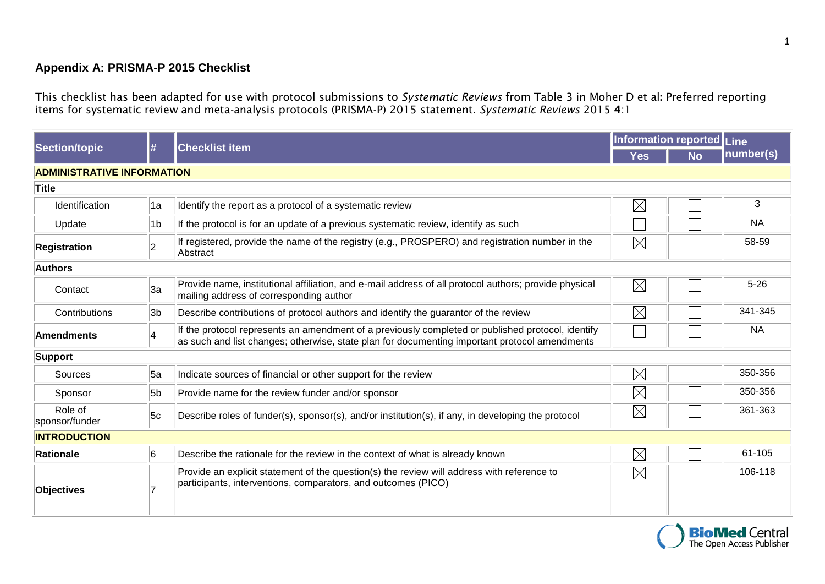## **Appendix A: PRISMA-P 2015 Checklist**

This checklist has been adapted for use with protocol submissions to *Systematic Reviews* from Table 3 in Moher D et al**:** Preferred reporting items for systematic review and meta-analysis protocols (PRISMA-P) 2015 statement. *Systematic Reviews* 2015 **4**:1

| <b>Section/topic</b>              | l#             | <b>Checklist item</b>                                                                                                                                                                              | <b>Information reported Line</b> |           |           |  |  |  |  |
|-----------------------------------|----------------|----------------------------------------------------------------------------------------------------------------------------------------------------------------------------------------------------|----------------------------------|-----------|-----------|--|--|--|--|
|                                   |                |                                                                                                                                                                                                    | <b>Yes</b>                       | <b>No</b> | number(s) |  |  |  |  |
| <b>ADMINISTRATIVE INFORMATION</b> |                |                                                                                                                                                                                                    |                                  |           |           |  |  |  |  |
| Title                             |                |                                                                                                                                                                                                    |                                  |           |           |  |  |  |  |
| Identification                    | 1a             | Identify the report as a protocol of a systematic review                                                                                                                                           | $\boxtimes$                      |           | 3         |  |  |  |  |
| Update                            | 1b             | If the protocol is for an update of a previous systematic review, identify as such                                                                                                                 |                                  |           | <b>NA</b> |  |  |  |  |
| Registration                      | $\overline{2}$ | If registered, provide the name of the registry (e.g., PROSPERO) and registration number in the<br>Abstract                                                                                        | $\boxtimes$                      |           | 58-59     |  |  |  |  |
| <b>Authors</b>                    |                |                                                                                                                                                                                                    |                                  |           |           |  |  |  |  |
| Contact                           | 3a             | Provide name, institutional affiliation, and e-mail address of all protocol authors; provide physical<br>mailing address of corresponding author                                                   | $\boxtimes$                      |           | $5 - 26$  |  |  |  |  |
| Contributions                     | 3b             | Describe contributions of protocol authors and identify the guarantor of the review                                                                                                                | $\boxtimes$                      |           | 341-345   |  |  |  |  |
| Amendments                        |                | If the protocol represents an amendment of a previously completed or published protocol, identify<br>as such and list changes; otherwise, state plan for documenting important protocol amendments |                                  |           | <b>NA</b> |  |  |  |  |
| Support                           |                |                                                                                                                                                                                                    |                                  |           |           |  |  |  |  |
| Sources                           | 5а             | Indicate sources of financial or other support for the review                                                                                                                                      | $\boxtimes$                      |           | 350-356   |  |  |  |  |
| Sponsor                           | 5b             | Provide name for the review funder and/or sponsor                                                                                                                                                  | $\boxtimes$                      |           | 350-356   |  |  |  |  |
| Role of<br>sponsor/funder         | 5c             | Describe roles of funder(s), sponsor(s), and/or institution(s), if any, in developing the protocol                                                                                                 | $\boxtimes$                      |           | 361-363   |  |  |  |  |
| <b>INTRODUCTION</b>               |                |                                                                                                                                                                                                    |                                  |           |           |  |  |  |  |
| Rationale                         | 6              | Describe the rationale for the review in the context of what is already known                                                                                                                      | $\boxtimes$                      |           | 61-105    |  |  |  |  |
| Objectives                        |                | Provide an explicit statement of the question(s) the review will address with reference to<br>participants, interventions, comparators, and outcomes (PICO)                                        | $\boxtimes$                      |           | 106-118   |  |  |  |  |

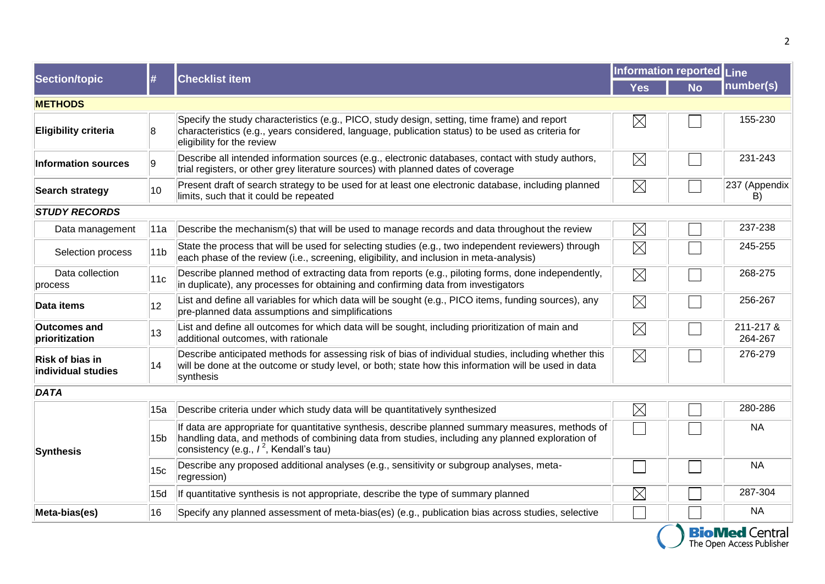| Section/topic                         | l#              | <b>Checklist item</b>                                                                                                                                                                                                                             | Information reported |           | Line                 |  |  |  |
|---------------------------------------|-----------------|---------------------------------------------------------------------------------------------------------------------------------------------------------------------------------------------------------------------------------------------------|----------------------|-----------|----------------------|--|--|--|
|                                       |                 |                                                                                                                                                                                                                                                   | <b>Yes</b>           | <b>No</b> | number(s)            |  |  |  |
| <b>METHODS</b>                        |                 |                                                                                                                                                                                                                                                   |                      |           |                      |  |  |  |
| <b>Eligibility criteria</b>           | 8               | Specify the study characteristics (e.g., PICO, study design, setting, time frame) and report<br>characteristics (e.g., years considered, language, publication status) to be used as criteria for<br>eligibility for the review                   | $\boxtimes$          |           | 155-230              |  |  |  |
| <b>Information sources</b>            | ۱9.             | Describe all intended information sources (e.g., electronic databases, contact with study authors,<br>trial registers, or other grey literature sources) with planned dates of coverage                                                           | $\boxtimes$          |           | 231-243              |  |  |  |
| Search strategy                       | 10              | Present draft of search strategy to be used for at least one electronic database, including planned<br>limits, such that it could be repeated                                                                                                     | $\boxtimes$          |           | 237 (Appendix<br>B)  |  |  |  |
| <b>STUDY RECORDS</b>                  |                 |                                                                                                                                                                                                                                                   |                      |           |                      |  |  |  |
| Data management                       | 11a             | Describe the mechanism(s) that will be used to manage records and data throughout the review                                                                                                                                                      | $\boxtimes$          |           | 237-238              |  |  |  |
| Selection process                     | 11 <sub>b</sub> | State the process that will be used for selecting studies (e.g., two independent reviewers) through<br>each phase of the review (i.e., screening, eligibility, and inclusion in meta-analysis)                                                    | $\boxtimes$          |           | 245-255              |  |  |  |
| Data collection<br>process            | 11c             | Describe planned method of extracting data from reports (e.g., piloting forms, done independently,<br>in duplicate), any processes for obtaining and confirming data from investigators                                                           | $\boxtimes$          |           | 268-275              |  |  |  |
| Data items                            | 12              | List and define all variables for which data will be sought (e.g., PICO items, funding sources), any<br>pre-planned data assumptions and simplifications                                                                                          | $\boxtimes$          |           | 256-267              |  |  |  |
| <b>Outcomes and</b><br>prioritization | 13              | List and define all outcomes for which data will be sought, including prioritization of main and<br>additional outcomes, with rationale                                                                                                           | $\boxtimes$          |           | 211-217 &<br>264-267 |  |  |  |
| Risk of bias in<br>individual studies | 14              | Describe anticipated methods for assessing risk of bias of individual studies, including whether this<br>will be done at the outcome or study level, or both; state how this information will be used in data<br>synthesis                        | $\boxtimes$          |           | 276-279              |  |  |  |
| DATA                                  |                 |                                                                                                                                                                                                                                                   |                      |           |                      |  |  |  |
| <b>Synthesis</b>                      | 15a             | Describe criteria under which study data will be quantitatively synthesized                                                                                                                                                                       | $\boxtimes$          |           | 280-286              |  |  |  |
|                                       | 15 <sub>b</sub> | If data are appropriate for quantitative synthesis, describe planned summary measures, methods of<br>handling data, and methods of combining data from studies, including any planned exploration of<br>consistency (e.g., $I^2$ , Kendall's tau) |                      |           | <b>NA</b>            |  |  |  |
|                                       | 15 <sub>c</sub> | Describe any proposed additional analyses (e.g., sensitivity or subgroup analyses, meta-<br>regression)                                                                                                                                           |                      |           | <b>NA</b>            |  |  |  |
|                                       | 15d             | If quantitative synthesis is not appropriate, describe the type of summary planned                                                                                                                                                                | $\boxtimes$          |           | 287-304              |  |  |  |
| Meta-bias(es)                         | 16              | Specify any planned assessment of meta-bias(es) (e.g., publication bias across studies, selective                                                                                                                                                 |                      |           | <b>NA</b>            |  |  |  |